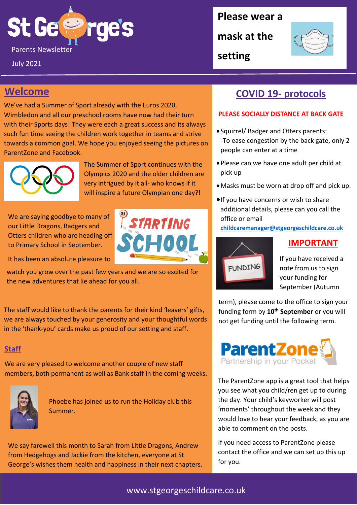# St Ge Parents Newsletter September 2019 and 2019 and 2019 and 2019 and 2019 and 2019 and 2019 and 2019 and 2019 and 2019 and 2019 and 2019 and 2019 and 2019 and 2019 and 2019 and 2019 and 2019 and 2019 and 2019 and 2019 and 2019

July 2021

**Please wear a** 

**mask at the** 

**setting**



## **Welcome**

We've had a Summer of Sport already with the Euros 2020, Wimbledon and all our preschool rooms have now had their turn with their Sports days! They were each a great success and its always such fun time seeing the children work together in teams and strive towards a common goal. We hope you enjoyed seeing the pictures on ParentZone and Facebook.



The Summer of Sport continues with the Olympics 2020 and the older children are very intrigued by it all- who knows if it will inspire a future Olympian one day?!

STARTING

SCHOOL

We are saying goodbye to many of our Little Dragons, Badgers and Otters children who are heading off to Primary School in September.

It has been an absolute pleasure to

watch you grow over the past few years and we are so excited for the new adventures that lie ahead for you all.

The staff would like to thank the parents for their kind 'leavers' gifts, we are always touched by your generosity and your thoughtful words in the 'thank-you' cards make us proud of our setting and staff.

#### **Staff**

We are very pleased to welcome another couple of new staff members, both permanent as well as Bank staff in the coming weeks.



Phoebe has joined us to run the Holiday club this Summer.

We say farewell this month to Sarah from Little Dragons, Andrew from Hedgehogs and Jackie from the kitchen, everyone at St George's wishes them health and happiness in their next chapters.

### **COVID 19- protocols**

#### **PLEASE SOCIALLY DISTANCE AT BACK GATE**

- Squirrel/ Badger and Otters parents: -To ease congestion by the back gate, only 2 people can enter at a time
- Please can we have one adult per child at pick up
- •Masks must be worn at drop off and pick up.
- •If you have concerns or wish to share additional details, please can you call the office or email

**[childcaremanager@stgeorgeschildcare.co.uk](mailto:childcaremanager@stgeorgeschildcare.co.uk)**



If you have received a note from us to sign your funding for September (Autumn

**IMPORTANT**

term), please come to the office to sign your funding form by **10th September** or you will not get funding until the following term.



The ParentZone app is a great tool that helps you see what you child/ren get up to during the day. Your child's keyworker will post 'moments' throughout the week and they would love to hear your feedback, as you are able to comment on the posts.

If you need access to ParentZone please contact the office and we can set up this up for you.

#### www.stgeorgeschildcare.co.uk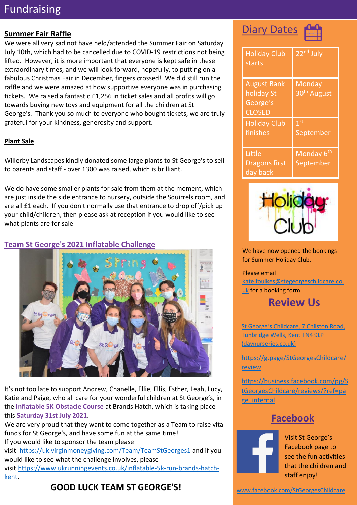## Fundraising

#### **Summer Fair Raffle**

We were all very sad not have held/attended the Summer Fair on Saturday July 10th, which had to be cancelled due to COVID-19 restrictions not being lifted. However, it is more important that everyone is kept safe in these extraordinary times, and we will look forward, hopefully, to putting on a fabulous Christmas Fair in December, fingers crossed! We did still run the raffle and we were amazed at how supportive everyone was in purchasing tickets. We raised a fantastic £1,256 in ticket sales and all profits will go towards buying new toys and equipment for all the children at St George's. Thank you so much to everyone who bought tickets, we are truly grateful for your kindness, generosity and support.

#### **Plant Sale**

Willerby Landscapes kindly donated some large plants to St George's to sell to parents and staff - over £300 was raised, which is brilliant.

We do have some smaller plants for sale from them at the moment, which are just inside the side entrance to nursery, outside the Squirrels room, and are all £1 each. If you don't normally use that entrance to drop off/pick up your child/children, then please ask at reception if you would like to see what plants are for sale

#### **Team St George's 2021 Inflatable Challenge**



It's not too late to support Andrew, Chanelle, Ellie, Ellis, Esther, Leah, Lucy, Katie and Paige, who all care for your wonderful children at St George's, in the **Inflatable 5K Obstacle Course** at Brands Hatch, which is taking place this **Saturday 31st July 2021**.

We are very proud that they want to come together as a Team to raise vital funds for St George's, and have some fun at the same time! If you would like to sponsor the team please visit <https://uk.virginmoneygiving.com/Team/TeamStGeorges1> and if you would like to see what the challenge involves, please visit [https://www.ukrunningevents.co.uk/inflatable-5k-run-brands-hatch](https://www.ukrunningevents.co.uk/inflatable-5k-run-brands-hatch-kent)[kent.](https://www.ukrunningevents.co.uk/inflatable-5k-run-brands-hatch-kent)

## **GOOD LUCK TEAM ST GEORGE'S!**

## **Diary Dates**



| <b>Holiday Club</b><br>starts                                 | 22 <sup>nd</sup> July                    |
|---------------------------------------------------------------|------------------------------------------|
| <b>August Bank</b><br>holiday St<br>George's<br><b>CLOSED</b> | <b>Monday</b><br>30 <sup>th</sup> August |
| <b>Holiday Club</b><br>finishes                               | 1 <sup>st</sup><br>September             |
| Little<br><b>Dragons first</b><br>day back                    | Monday 6 <sup>th</sup><br>September      |



We have now opened the bookings for Summer Holiday Club.

#### Please email [kate.foulkes@stegeorgeschildcare.co.](mailto:kate.foulkes@stegeorgeschildcare.co.uk) [uk](mailto:kate.foulkes@stegeorgeschildcare.co.uk) for a booking form.



[St George's Childcare, 7 Chilston Road,](https://www.daynurseries.co.uk/daynursery.cfm/searchazref/50001050GEOA/rcsid/1001#submit-review-tab)  [Tunbridge Wells, Kent TN4 9LP](https://www.daynurseries.co.uk/daynursery.cfm/searchazref/50001050GEOA/rcsid/1001#submit-review-tab)  [\(daynurseries.co.uk\)](https://www.daynurseries.co.uk/daynursery.cfm/searchazref/50001050GEOA/rcsid/1001#submit-review-tab)

[https://g.page/StGeorgesChildcare/](https://g.page/StGeorgesChildcare/review) **[review](https://g.page/StGeorgesChildcare/review)** 

[https://business.facebook.com/pg/S](https://business.facebook.com/pg/StGeorgesChildcare/reviews/?ref=page_internal) [tGeorgesChildcare/reviews/?ref=pa](https://business.facebook.com/pg/StGeorgesChildcare/reviews/?ref=page_internal) [ge\\_internal](https://business.facebook.com/pg/StGeorgesChildcare/reviews/?ref=page_internal)

#### **Facebook**



Visit St George's Facebook page to see the fun activities that the children and staff enjoy!

[www.facebook.com/StGeorgesChildcare](http://www.facebook.com/StGeorgesChildcare)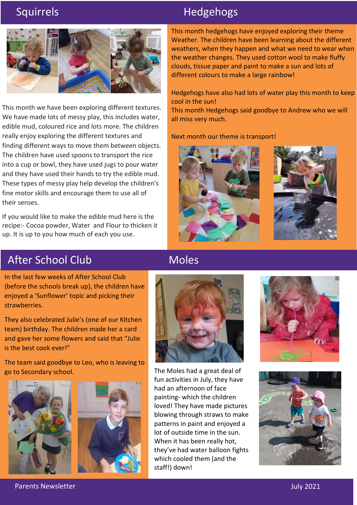

This month we have been exploring different textures. We have made lots of messy play, this includes water, edible mud, coloured rice and lots more. The children really enjoy exploring the different textures and finding different ways to move them between objects. The children have used spoons to transport the rice into a cup or bowl, they have used jugs to pour water and they have used their hands to try the edible mud. These types of messy play help develop the children's fine motor skills and encourage them to use all of their senses.

If you would like to make the edible mud here is the recipe:- Cocoa powder, Water and Flour to thicken it up. It is up to you how much of each you use.

## Squirrels **Hedgehogs**

This month hedgehogs have enjoyed exploring their theme Weather. The children have been learning about the different weathers, when they happen and what we need to wear when the weather changes. They used cotton wool to make fluffy clouds, tissue paper and paint to make a sun and lots of different colours to make a large rainbow!

Hedgehogs have also had lots of water play this month to keep cool in the sun!

This month Hedgehogs said goodbye to Andrew who we will all miss very much.

Next month our theme is transport!





## After School Club

In the last few weeks of After School Club (before the schools break up), the children have enjoyed a 'Sunflower' topic and picking their strawberries.

They also celebrated Julie's (one of our Kitchen team) birthday. The children made her a card and gave her some flowers and said that "Julie is the best cook ever!"

The team said goodbye to Leo, who is leaving to go to Secondary school.





## Moles



The Moles had a great deal of fun activities in July, they have had an afternoon of face painting- which the children loved! They have made pictures blowing through straws to make patterns in paint and enjoyed a lot of outside time in the sun. When it has been really hot, they've had water balloon fights which cooled them (and the staff!) down!





Parents Newsletter July 2021